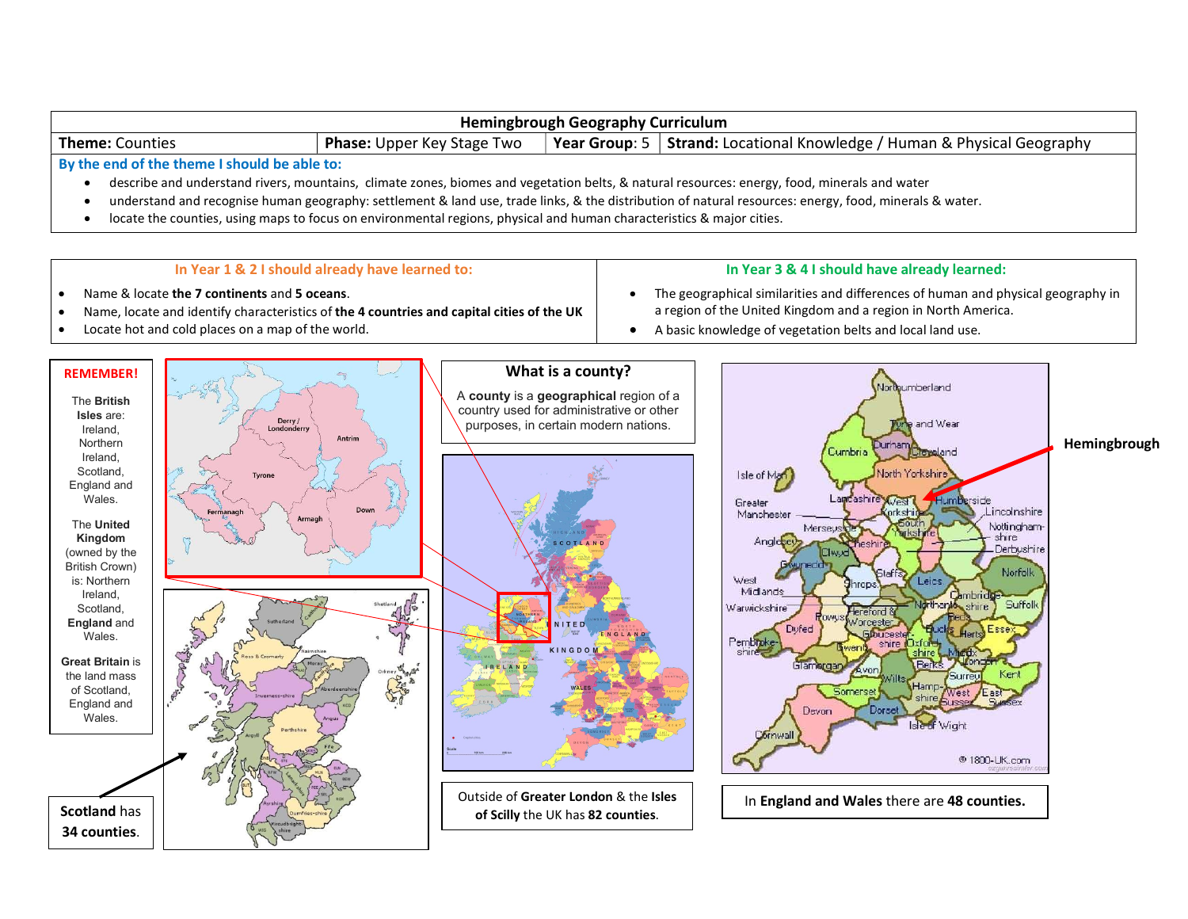

- describe and understand rivers, mountains, climate zones, biomes and vegetation belts, & natural resources: energy, food, minerals and water
- understand and recognise human geography: settlement & land use, trade links, & the distribution of natural resources: energy, food, minerals & water.
- locate the counties, using maps to focus on environmental regions, physical and human characteristics & major cities.

#### In Year 1 & 2 I should already have learned to:

## In Year 3 & 4 I should have already learned:

- Name & locate the 7 continents and 5 oceans.
- Name, locate and identify characteristics of the 4 countries and capital cities of the UK
- Locate hot and cold places on a map of the world.
- The geographical similarities and differences of human and physical geography in a region of the United Kingdom and a region in North America.
- A basic knowledge of vegetation belts and local land use.